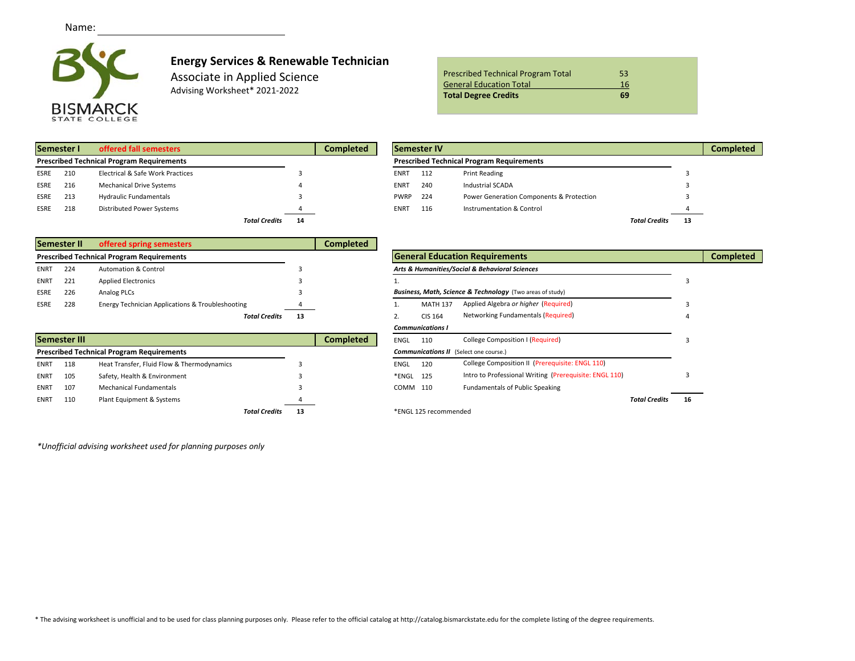

## **Energy Services & Renewable Technician**

Associate in Applied Science Advising Worksheet\* 2021-2022

| <b>Prescribed Technical Program Total</b> | 53 |  |
|-------------------------------------------|----|--|
| <b>General Education Total</b>            | 16 |  |
| <b>Total Degree Credits</b>               | 69 |  |

| Semester I<br>offered fall semesters             |     |                                  |                      |    | <b>Completed</b> |             | <b>Semester IV</b> |                                                  |                      |  |
|--------------------------------------------------|-----|----------------------------------|----------------------|----|------------------|-------------|--------------------|--------------------------------------------------|----------------------|--|
| <b>Prescribed Technical Program Requirements</b> |     |                                  |                      |    |                  |             |                    | <b>Prescribed Technical Program Requirements</b> |                      |  |
| <b>ESRE</b>                                      | 210 | Electrical & Safe Work Practices |                      |    |                  | <b>ENRT</b> | 112                | <b>Print Reading</b>                             |                      |  |
| <b>ESRE</b>                                      | 216 | <b>Mechanical Drive Systems</b>  |                      |    |                  | <b>ENRT</b> | 240                | <b>Industrial SCADA</b>                          |                      |  |
| <b>ESRE</b>                                      | 213 | <b>Hydraulic Fundamentals</b>    |                      |    |                  | <b>PWRP</b> | 224                | Power Generation Components & Protection         |                      |  |
| <b>ESRE</b>                                      | 218 | Distributed Power Systems        |                      |    |                  | <b>ENRT</b> | 116                | Instrumentation & Control                        |                      |  |
|                                                  |     |                                  | <b>Total Credits</b> | 14 |                  |             |                    |                                                  | <b>Total Credits</b> |  |

|                                                  | Semester I | offered fall semesters           |                            | <b>Completed</b> |                                                  | Semester IV |                                          |                      |     | <b>Completed</b> |
|--------------------------------------------------|------------|----------------------------------|----------------------------|------------------|--------------------------------------------------|-------------|------------------------------------------|----------------------|-----|------------------|
| <b>Prescribed Technical Program Requirements</b> |            |                                  |                            |                  | <b>Prescribed Technical Program Requirements</b> |             |                                          |                      |     |                  |
| ESRE                                             | 210        | Electrical & Safe Work Practices |                            |                  | <b>ENRT</b>                                      | 112         | <b>Print Reading</b>                     |                      |     |                  |
| ESRE                                             | 216        | <b>Mechanical Drive Systems</b>  |                            |                  | <b>ENRT</b>                                      | 240         | <b>Industrial SCADA</b>                  |                      |     |                  |
| ESRE                                             | 213        | <b>Hydraulic Fundamentals</b>    |                            |                  | PWRP 224                                         |             | Power Generation Components & Protection |                      |     |                  |
| ESRE                                             | 218        | Distributed Power Systems        |                            |                  | <b>ENRT</b>                                      | 116         | Instrumentation & Control                |                      |     |                  |
|                                                  |            |                                  | <b>Total Credits</b><br>14 |                  |                                                  |             |                                          | <b>Total Credits</b> | -13 |                  |

| Semester II<br>offered spring semesters |     |                                                  |    | <b>Completed</b> |                                                |                  |                                                           |  |
|-----------------------------------------|-----|--------------------------------------------------|----|------------------|------------------------------------------------|------------------|-----------------------------------------------------------|--|
|                                         |     | <b>Prescribed Technical Program Requirements</b> |    |                  |                                                |                  | <b>General Education Requirements</b>                     |  |
| <b>ENRT</b>                             | 224 | <b>Automation &amp; Control</b>                  |    |                  | Arts & Humanities/Social & Behavioral Sciences |                  |                                                           |  |
| <b>ENRT</b>                             | 221 | <b>Applied Electronics</b>                       |    |                  |                                                |                  |                                                           |  |
| <b>ESRE</b>                             | 226 | Analog PLCs                                      |    |                  |                                                |                  | Business, Math, Science & Technology (Two areas of study) |  |
| ESRE                                    | 228 | Energy Technician Applications & Troubleshooting |    |                  |                                                | <b>MATH 137</b>  | Applied Algebra or higher (Required)                      |  |
|                                         |     | <b>Total Credits</b>                             | 13 |                  |                                                | CIS 164          | Networking Fundamentals (Required)                        |  |
|                                         |     |                                                  |    |                  |                                                | Communications I |                                                           |  |

|                                                    | Semester III |                                            |    | Completed | College Composition I (Required)<br><b>ENGL</b><br>110 |                                                        |                                                 |                      |    |  |
|----------------------------------------------------|--------------|--------------------------------------------|----|-----------|--------------------------------------------------------|--------------------------------------------------------|-------------------------------------------------|----------------------|----|--|
| <b>Prescribed Technical Program Requirements</b>   |              |                                            |    |           |                                                        |                                                        | <b>Communications II</b> (Select one course.)   |                      |    |  |
| <b>ENRT</b>                                        | 118          | Heat Transfer, Fluid Flow & Thermodynamics |    |           | ENGL                                                   | 120                                                    | College Composition II (Prerequisite: ENGL 110) |                      |    |  |
| Safety, Health & Environment<br>105<br><b>ENRT</b> |              |                                            |    |           | *ENGL 125                                              | Intro to Professional Writing (Prerequisite: ENGL 110) |                                                 |                      |    |  |
| <b>ENRT</b>                                        | 107          | <b>Mechanical Fundamentals</b>             |    |           |                                                        | COMM 110                                               | Fundamentals of Public Speaking                 |                      |    |  |
| <b>ENRT</b>                                        | 110          | Plant Equipment & Systems                  |    |           |                                                        |                                                        |                                                 | <b>Total Credits</b> | 16 |  |
|                                                    |              | <b>Total Credits</b>                       | 13 |           |                                                        | *ENGL 125 recommended                                  |                                                 |                      |    |  |

|                      |    |                  |             |                         | <b>General Education Requirements</b>                     |                      |    | <b>Completed</b> |
|----------------------|----|------------------|-------------|-------------------------|-----------------------------------------------------------|----------------------|----|------------------|
|                      | З  |                  |             |                         | Arts & Humanities/Social & Behavioral Sciences            |                      |    |                  |
|                      |    |                  |             |                         |                                                           |                      | 3  |                  |
|                      |    |                  |             |                         | Business, Math, Science & Technology (Two areas of study) |                      |    |                  |
| g                    |    |                  |             | <b>MATH 137</b>         | Applied Algebra or higher (Required)                      |                      |    |                  |
| <b>Total Credits</b> | 13 |                  | 2.          | CIS 164                 | Networking Fundamentals (Required)                        |                      | 4  |                  |
|                      |    |                  |             | <b>Communications I</b> |                                                           |                      |    |                  |
|                      |    | <b>Completed</b> | <b>ENGL</b> | 110                     | College Composition I (Required)                          |                      | 3  |                  |
|                      |    |                  |             |                         | <b>Communications II</b> (Select one course.)             |                      |    |                  |
|                      | К  |                  | <b>ENGL</b> | 120                     | College Composition II (Prerequisite: ENGL 110)           |                      |    |                  |
|                      |    |                  | *ENGL       | 125                     | Intro to Professional Writing (Prerequisite: ENGL 110)    |                      | 3  |                  |
|                      |    |                  | COMM        | 110                     | <b>Fundamentals of Public Speaking</b>                    |                      |    |                  |
|                      |    |                  |             |                         |                                                           | <b>Total Credits</b> | 16 |                  |
| <b>Total Credits</b> | 13 |                  |             | *ENGL 125 recommended   |                                                           |                      |    |                  |

*\*Unofficial advising worksheet used for planning purposes only*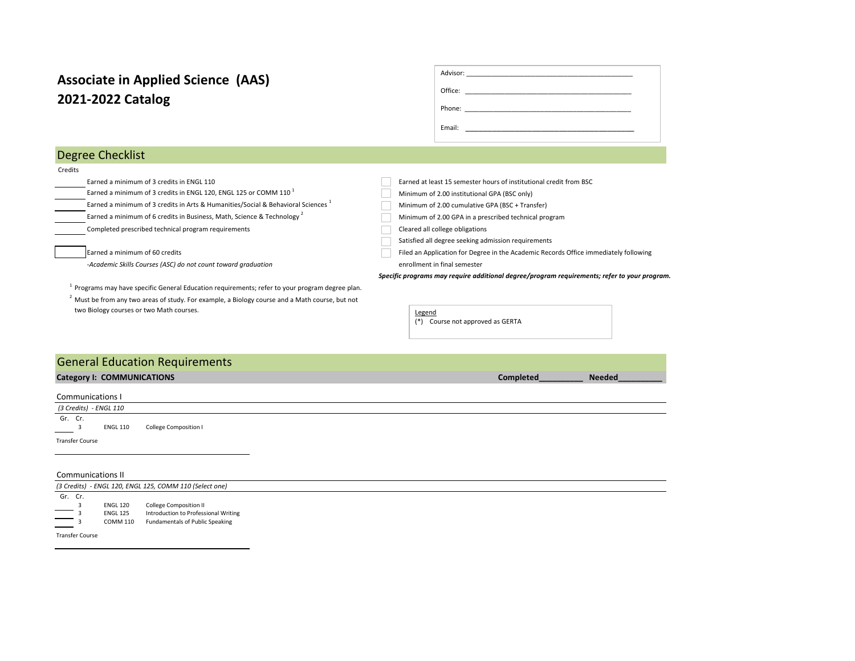# **2021-2022 Catalog Associate in Applied Science (AAS)**

| Office: | <u> 1980 - Jan Barnett, mars et al. (</u>          |  |
|---------|----------------------------------------------------|--|
| Phone:  | <u> 1980 - Jan Berlin, manazar maso a marekani</u> |  |
| Email:  |                                                    |  |
|         |                                                    |  |

## Degree Checklist

#### Credits

Earned a minimum of 3 credits in ENGL 110 Earned a minimum of 3 credits in ENGL 120, ENGL 125 or COMM 110<sup>1</sup> Minimum of 2.00 institutional GPA (BSC only)

Earned a minimum of 3 credits in Arts & Humanities/Social & Behavioral Sciences  $1$  Minimum of 2.00 cumulative GPA (BSC + Transfer)

Earned a minimum of 6 credits in Business, Math, Science & Technology 2 Minimum of 2.00 GPA in a prescribed technical program

Completed prescribed technical program requirements Cleared all college obligations Cleared all college obligations

*-Academic Skills Courses (ASC) do not count toward graduation* enrollment in final semester

 $1$  Programs may have specific General Education requirements; refer to your program degree plan.  $2$  Must be from any two areas of study. For example, a Biology course and a Math course, but not two Biology courses or two Math courses.

| Earned at least 15 semester hours of institutional credit from BSC |
|--------------------------------------------------------------------|
|                                                                    |

Satisfied all degree seeking admission requirements

Earned a minimum of 60 credits Filed an Application for Degree in the Academic Records Office immediately following

 *Specific programs may require additional degree/program requirements; refer to your program.* 



# **Category I: COMMUNICATIONS Completed Records Completed Records Completed Records Completed Records Records Records** Communications I  *(3 Credits) - ENGL 110*  Gr.  $Cr.$ ENGL 110 College Composition I Transfer Course General Education Requirements

#### Communications II *(3 Credits) - ENGL 120, ENGL 125, COMM 110 (Select one)*  Gr. Cr. 3 ENGL 120 College Composition II ENGL 125 Introduction to Professional Writing COMM 110 Fundamentals of Public Speaking

Transfer Course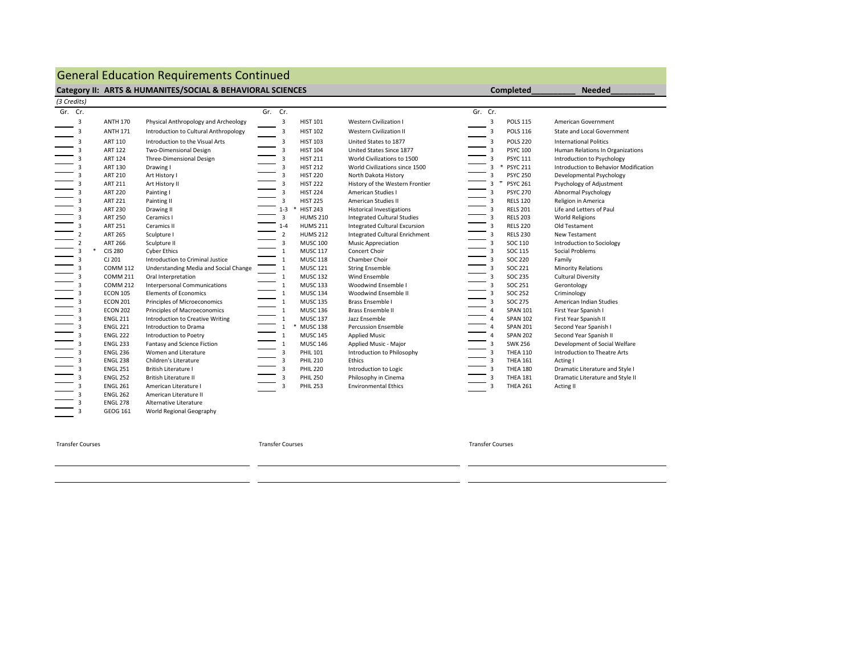# General Education Requirements Continued

### **Category II: ARTS & HUMANITES/SOCIAL & BEHAVIORAL SCIENCES**

| (3 Credits) |                         |                 |                                       |         |                |                 |                                       |         |                          |                 |                                       |
|-------------|-------------------------|-----------------|---------------------------------------|---------|----------------|-----------------|---------------------------------------|---------|--------------------------|-----------------|---------------------------------------|
| Gr. Cr.     |                         |                 |                                       | Gr. Cr. |                |                 |                                       | Gr. Cr. |                          |                 |                                       |
|             | 3                       | <b>ANTH 170</b> | Physical Anthropology and Archeology  |         | 3              | <b>HIST 101</b> | <b>Western Civilization I</b>         |         | 3                        | <b>POLS 115</b> | American Government                   |
|             | 3                       | <b>ANTH 171</b> | Introduction to Cultural Anthropology |         | 3              | <b>HIST 102</b> | <b>Western Civilization II</b>        |         | 3                        | <b>POLS 116</b> | <b>State and Local Government</b>     |
|             | 3                       | ART 110         | Introduction to the Visual Arts       |         | 3              | <b>HIST 103</b> | United States to 1877                 |         | 3                        | <b>POLS 220</b> | <b>International Politics</b>         |
|             | 3                       | <b>ART 122</b>  | Two-Dimensional Design                |         | 3              | <b>HIST 104</b> | United States Since 1877              |         | 3                        | <b>PSYC 100</b> | Human Relations In Organizations      |
|             | 3                       | <b>ART 124</b>  | Three-Dimensional Design              |         | 3              | <b>HIST 211</b> | World Civilizations to 1500           |         | 3                        | <b>PSYC 111</b> | Introduction to Psychology            |
|             | 3                       | ART 130         | Drawing I                             |         | 3              | <b>HIST 212</b> | World Civilizations since 1500        |         | 3<br>*                   | <b>PSYC 211</b> | Introduction to Behavior Modification |
|             | 3                       | <b>ART 210</b>  | Art History I                         |         | 3              | <b>HIST 220</b> | North Dakota History                  |         | 3                        | <b>PSYC 250</b> | Developmental Psychology              |
|             | 3                       | <b>ART 211</b>  | Art History II                        |         | 3              | <b>HIST 222</b> | History of the Western Frontier       |         | $\boldsymbol{\tau}$<br>3 | <b>PSYC 261</b> | Psychology of Adjustment              |
|             | 3                       | <b>ART 220</b>  | Painting I                            |         | 3              | <b>HIST 224</b> | American Studies I                    |         | 3                        | <b>PSYC 270</b> | Abnormal Psychology                   |
|             | 3                       | <b>ART 221</b>  | Painting II                           |         | 3              | <b>HIST 225</b> | American Studies II                   |         | 3                        | <b>RELS 120</b> | Religion in America                   |
|             | 3                       | <b>ART 230</b>  | Drawing II                            |         | $1 - 3$        | <b>HIST 243</b> | <b>Historical Investigations</b>      |         | 3                        | <b>RELS 201</b> | Life and Letters of Paul              |
|             | 3                       | <b>ART 250</b>  | Ceramics I                            |         | 3              | <b>HUMS 210</b> | <b>Integrated Cultural Studies</b>    |         | 3                        | <b>RELS 203</b> | <b>World Religions</b>                |
|             | 3                       | <b>ART 251</b>  | Ceramics II                           |         | $1 - 4$        | <b>HUMS 211</b> | <b>Integrated Cultural Excursion</b>  |         | 3                        | <b>RELS 220</b> | Old Testament                         |
|             | $\overline{2}$          | <b>ART 265</b>  | Sculpture I                           |         | $\overline{2}$ | <b>HUMS 212</b> | <b>Integrated Cultural Enrichment</b> |         | 3                        | <b>RELS 230</b> | New Testament                         |
|             | $\overline{2}$          | <b>ART 266</b>  | Sculpture II                          |         | 3              | <b>MUSC 100</b> | <b>Music Appreciation</b>             |         | 3                        | SOC 110         | <b>Introduction to Sociology</b>      |
|             | 3                       | <b>CIS 280</b>  | <b>Cyber Ethics</b>                   |         | 1              | <b>MUSC 117</b> | Concert Choir                         |         | 3                        | <b>SOC 115</b>  | Social Problems                       |
|             | 3                       | CJ 201          | Introduction to Criminal Justice      |         | 1              | <b>MUSC 118</b> | Chamber Choir                         |         | 3                        | <b>SOC 220</b>  | Family                                |
|             | 3                       | <b>COMM 112</b> | Understanding Media and Social Change |         | 1              | <b>MUSC 121</b> | <b>String Ensemble</b>                |         | 3                        | <b>SOC 221</b>  | <b>Minority Relations</b>             |
|             | $\overline{\mathbf{3}}$ | <b>COMM 211</b> | Oral Interpretation                   |         | $\mathbf{1}$   | <b>MUSC 132</b> | Wind Ensemble                         |         | 3                        | <b>SOC 235</b>  | <b>Cultural Diversity</b>             |
|             | 3                       | <b>COMM 212</b> | <b>Interpersonal Communications</b>   |         | 1              | <b>MUSC 133</b> | Woodwind Ensemble I                   |         | 3                        | <b>SOC 251</b>  | Gerontology                           |
|             | 3                       | <b>ECON 105</b> | <b>Elements of Economics</b>          |         | 1              | <b>MUSC 134</b> | Woodwind Ensemble II                  |         | 3                        | <b>SOC 252</b>  | Criminology                           |
|             | 3                       | <b>ECON 201</b> | Principles of Microeconomics          |         | 1              | <b>MUSC 135</b> | Brass Ensemble I                      |         | 3                        | <b>SOC 275</b>  | American Indian Studies               |
|             | 3                       | <b>ECON 202</b> | Principles of Macroeconomics          |         | 1              | <b>MUSC 136</b> | Brass Ensemble II                     |         | 4                        | <b>SPAN 101</b> | First Year Spanish I                  |
|             | 3                       | <b>ENGL 211</b> | Introduction to Creative Writing      |         | 1              | <b>MUSC 137</b> | Jazz Ensemble                         |         | 4                        | <b>SPAN 102</b> | First Year Spanish II                 |
|             | 3                       | <b>ENGL 221</b> | Introduction to Drama                 |         |                | <b>MUSC 138</b> | <b>Percussion Ensemble</b>            |         | 4                        | <b>SPAN 201</b> | Second Year Spanish I                 |
|             | 3                       | <b>ENGL 222</b> | Introduction to Poetry                |         | 1              | <b>MUSC 145</b> | <b>Applied Music</b>                  |         | 4                        | <b>SPAN 202</b> | Second Year Spanish II                |
|             | 3                       | <b>ENGL 233</b> | Fantasy and Science Fiction           |         | 1              | <b>MUSC 146</b> | Applied Music - Major                 |         | 3                        | <b>SWK 256</b>  | Development of Social Welfare         |
|             | 3                       | <b>ENGL 236</b> | Women and Literature                  |         | 3              | <b>PHIL 101</b> | Introduction to Philosophy            |         | 3                        | <b>THEA 110</b> | Introduction to Theatre Arts          |
|             | 3                       | <b>ENGL 238</b> | Children's Literature                 |         |                | <b>PHIL 210</b> | Ethics                                |         | $\overline{\mathbf{3}}$  | <b>THEA 161</b> | Acting I                              |
|             | 3                       | <b>ENGL 251</b> | <b>British Literature I</b>           |         |                | <b>PHIL 220</b> | Introduction to Logic                 |         |                          | <b>THEA 180</b> | Dramatic Literature and Style I       |
|             | 3                       | <b>ENGL 252</b> | <b>British Literature II</b>          |         |                | <b>PHIL 250</b> | Philosophy in Cinema                  |         |                          | <b>THEA 181</b> | Dramatic Literature and Style II      |
|             | 3                       | <b>ENGL 261</b> | American Literature I                 |         |                | <b>PHIL 253</b> | <b>Environmental Ethics</b>           |         | 3                        | <b>THEA 261</b> | Acting II                             |
|             | 3                       | <b>ENGL 262</b> | American Literature II                |         |                |                 |                                       |         |                          |                 |                                       |
|             | 3                       | <b>ENGL 278</b> | Alternative Literature                |         |                |                 |                                       |         |                          |                 |                                       |
|             |                         | <b>GEOG 161</b> | World Regional Geography              |         |                |                 |                                       |         |                          |                 |                                       |

GEOG 161 World Regional Geography

Transfer Courses Transfer Courses Transfer Courses